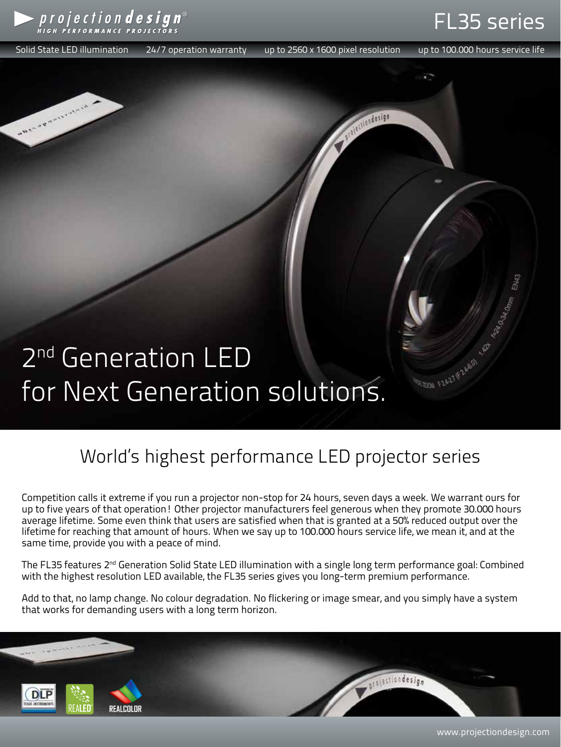

Solid State LED illumination 24/7 operation warranty up to 2560 x 1600 pixel resolution up to 100.000 hours service life

Violation design

**I** RE

EDOM F2A27 F2A601

FL35 series

# 2<sup>nd</sup> Generation LED for Next Generation solutions.

### World's highest performance LED projector series

Competition calls it extreme if you run a projector non-stop for 24 hours, seven days a week. We warrant ours for up to five years of that operation! Other projector manufacturers feel generous when they promote 30.000 hours average lifetime. Some even think that users are satisfied when that is granted at a 50% reduced output over the lifetime for reaching that amount of hours. When we say up to 100.000 hours service life, we mean it, and at the same time, provide you with a peace of mind.

The FL35 features 2<sup>nd</sup> Generation Solid State LED illumination with a single long term performance goal: Combined with the highest resolution LED available, the FL35 series gives you long-term premium performance.

Add to that, no lamp change. No colour degradation. No flickering or image smear, and you simply have a system that works for demanding users with a long term horizon.



www.projectiondesign.com

*intection design*